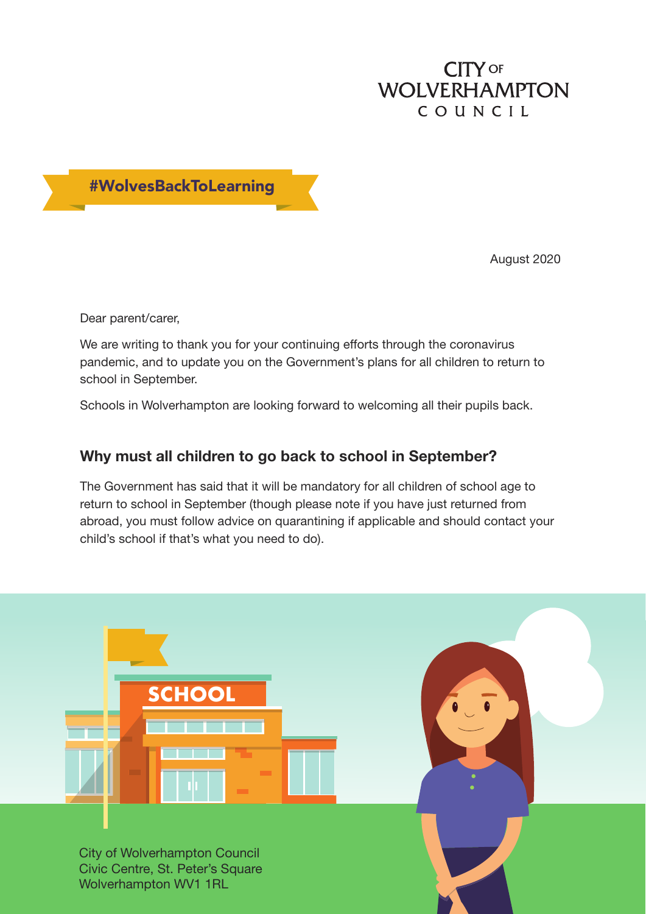## **CITY OF WOLVERHAMPTON** COUNCIL



August 2020

Dear parent/carer,

We are writing to thank you for your continuing efforts through the coronavirus pandemic, and to update you on the Government's plans for all children to return to school in September.

Schools in Wolverhampton are looking forward to welcoming all their pupils back.

## **Why must all children to go back to school in September?**

The Government has said that it will be mandatory for all children of school age to return to school in September (though please note if you have just returned from abroad, you must follow advice on quarantining if applicable and should contact your child's school if that's what you need to do).

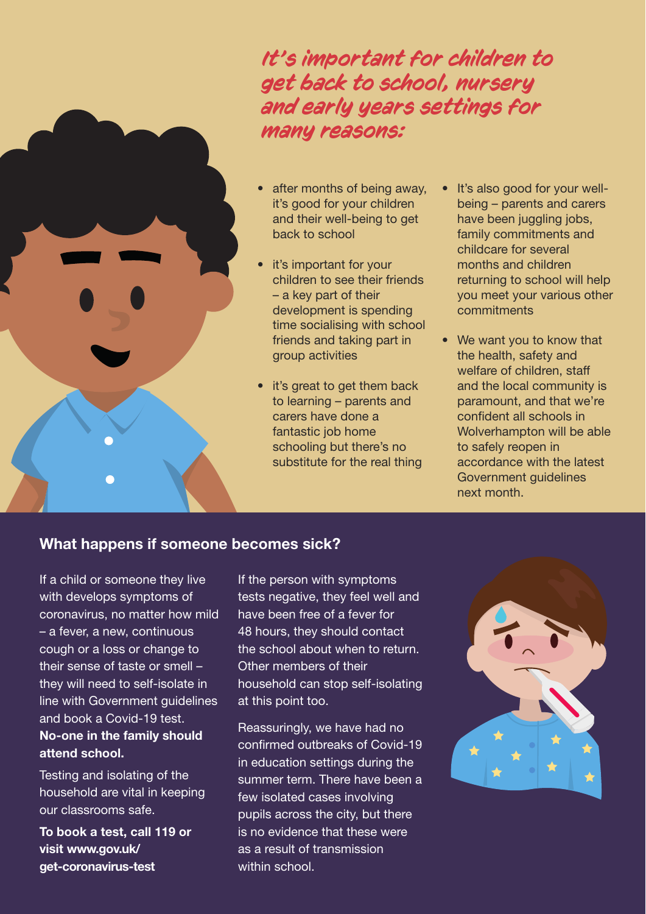*It's important for children to get back to school, nursery and early years settings for many reasons:* 

- after months of being away, it's good for your children and their well-being to get back to school
- it's important for your children to see their friends – a key part of their development is spending time socialising with school friends and taking part in group activities
- it's great to get them back to learning – parents and carers have done a fantastic job home schooling but there's no substitute for the real thing
- It's also good for your wellbeing – parents and carers have been juggling jobs, family commitments and childcare for several months and children returning to school will help you meet your various other commitments
- We want you to know that the health, safety and welfare of children, staff and the local community is paramount, and that we're confident all schools in Wolverhampton will be able to safely reopen in accordance with the latest Government guidelines next month.

## **What happens if someone becomes sick?**

If a child or someone they live with develops symptoms of coronavirus, no matter how mild – a fever, a new, continuous cough or a loss or change to their sense of taste or smell – they will need to self-isolate in line with Government guidelines and book a Covid-19 test. **No-one in the family should attend school.** 

Testing and isolating of the household are vital in keeping our classrooms safe.

**To book a test, call 119 or visit www.gov.uk/ get-coronavirus-test**

If the person with symptoms tests negative, they feel well and have been free of a fever for 48 hours, they should contact the school about when to return. Other members of their household can stop self-isolating at this point too.

Reassuringly, we have had no confirmed outbreaks of Covid-19 in education settings during the summer term. There have been a few isolated cases involving pupils across the city, but there is no evidence that these were as a result of transmission within school.

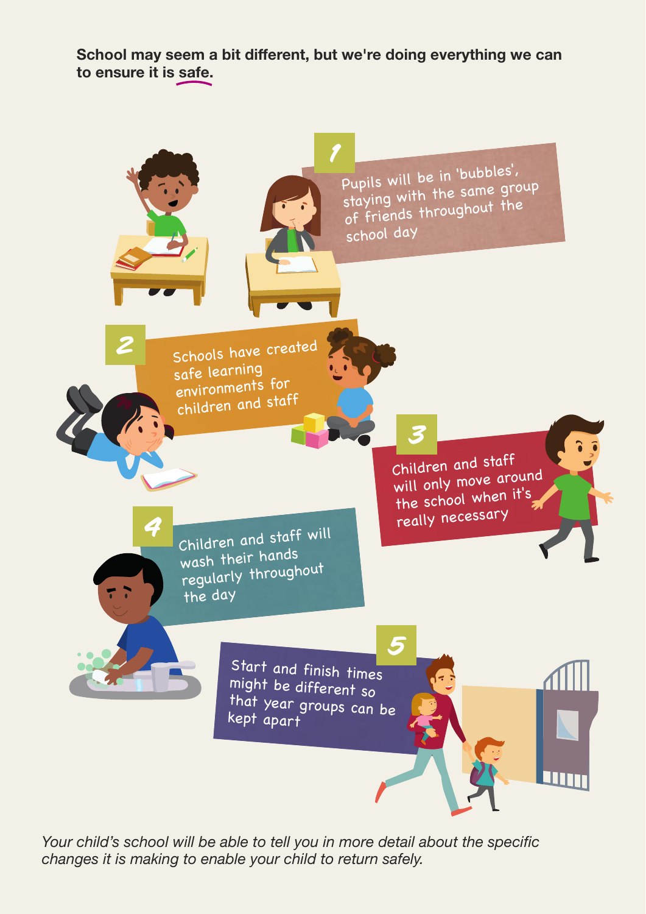**School may seem a bit different, but we're doing everything we can to ensure it is safe.**



Your child's school will be able to tell you in more detail about the specific changes it is making to enable your child to return safely.